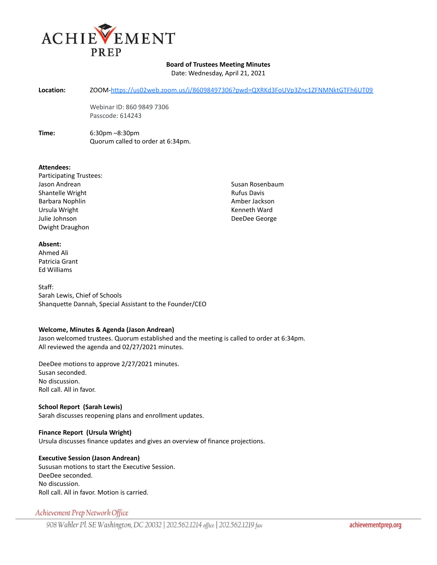

## **Board of Trustees Meeting Minutes**

Date: Wednesday, April 21, 2021

**Location:** ZOOM[-https://us02web.zoom.us/j/86098497306?pwd=QXRKd3FoUVp3Znc1ZFNMNktGTFh6UT09](https://us02web.zoom.us/j/86098497306?pwd=QXRKd3FoUVp3Znc1ZFNMNktGTFh6UT09)

Webinar ID: 860 9849 7306 Passcode: 614243

**Time:** 6:30pm –8:30pm Quorum called to order at 6:34pm.

### **Attendees:**

Participating Trustees: Jason Andrean Shantelle Wright Barbara Nophlin Ursula Wright Julie Johnson Dwight Draughon

Susan Rosenbaum Rufus Davis Amber Jackson Kenneth Ward DeeDee George

#### **Absent:**

Ahmed Ali Patricia Grant Ed Williams

Staff: Sarah Lewis, Chief of Schools Shanquette Dannah, Special Assistant to the Founder/CEO

## **Welcome, Minutes & Agenda (Jason Andrean)**

Jason welcomed trustees. Quorum established and the meeting is called to order at 6:34pm. All reviewed the agenda and 02/27/2021 minutes.

DeeDee motions to approve 2/27/2021 minutes. Susan seconded. No discussion. Roll call. All in favor.

### **School Report (Sarah Lewis)**

Sarah discusses reopening plans and enrollment updates.

**Finance Report (Ursula Wright)** Ursula discusses finance updates and gives an overview of finance projections.

## **Executive Session (Jason Andrean)**

Sususan motions to start the Executive Session. DeeDee seconded. No discussion. Roll call. All in favor. Motion is carried.

# Achievement Prep Network Office